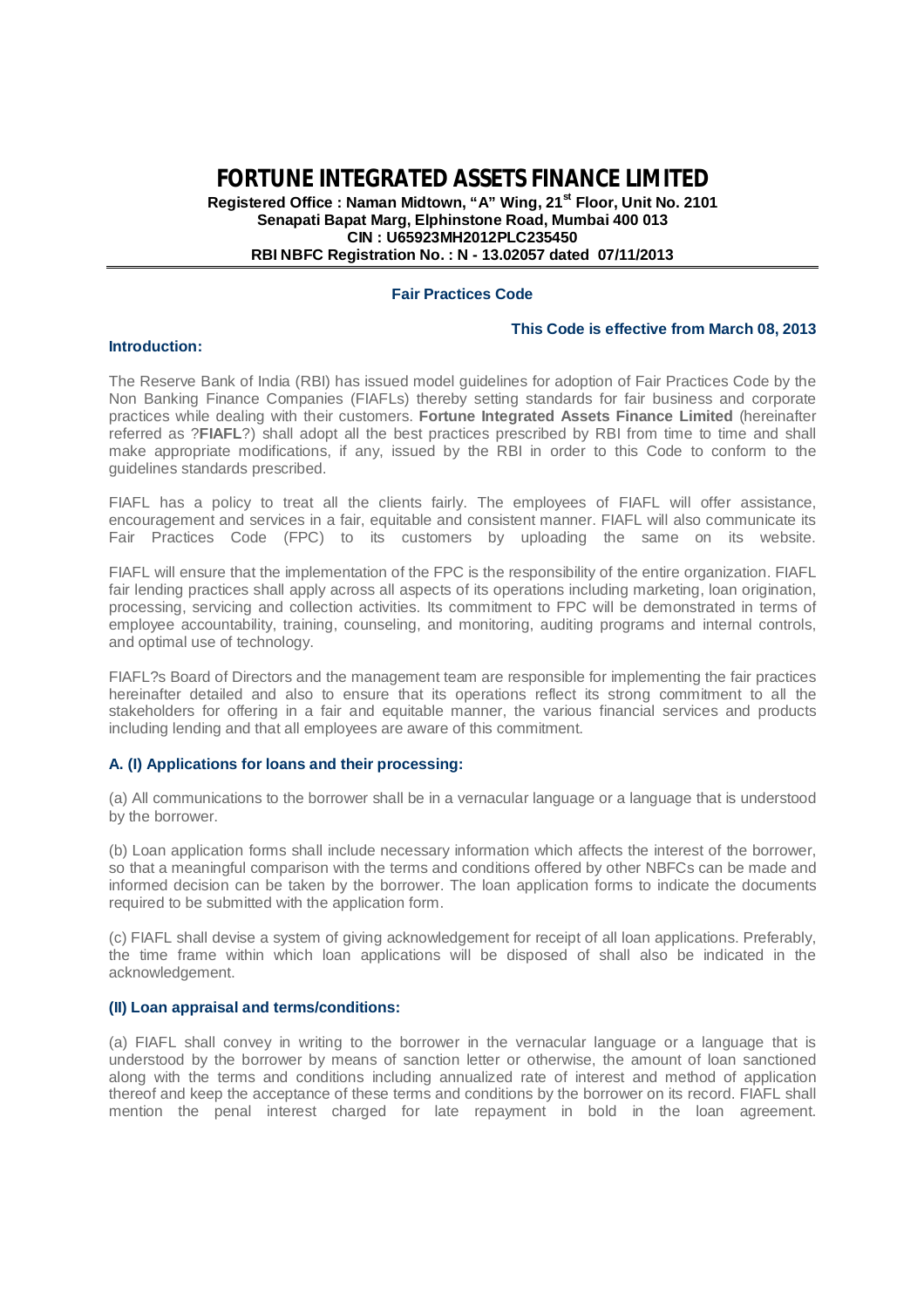**FORTUNE INTEGRATED ASSETS FINANCE LIMITED**

**Registered Office : Naman Midtown, "A" Wing, 21st Floor, Unit No. 2101 Senapati Bapat Marg, Elphinstone Road, Mumbai 400 013 CIN : U65923MH2012PLC235450 RBI NBFC Registration No. : N - 13.02057 dated 07/11/2013**

## **Fair Practices Code**

## **This Code is effective from March 08, 2013**

#### **Introduction:**

The Reserve Bank of India (RBI) has issued model guidelines for adoption of Fair Practices Code by the Non Banking Finance Companies (FIAFLs) thereby setting standards for fair business and corporate practices while dealing with their customers. **Fortune Integrated Assets Finance Limited** (hereinafter referred as ?**FIAFL**?) shall adopt all the best practices prescribed by RBI from time to time and shall make appropriate modifications, if any, issued by the RBI in order to this Code to conform to the guidelines standards prescribed.

FIAFL has a policy to treat all the clients fairly. The employees of FIAFL will offer assistance, encouragement and services in a fair, equitable and consistent manner. FIAFL will also communicate its Fair Practices Code (FPC) to its customers by uploading the same on its website.

FIAFL will ensure that the implementation of the FPC is the responsibility of the entire organization. FIAFL fair lending practices shall apply across all aspects of its operations including marketing, loan origination, processing, servicing and collection activities. Its commitment to FPC will be demonstrated in terms of employee accountability, training, counseling, and monitoring, auditing programs and internal controls, and optimal use of technology.

FIAFL?s Board of Directors and the management team are responsible for implementing the fair practices hereinafter detailed and also to ensure that its operations reflect its strong commitment to all the stakeholders for offering in a fair and equitable manner, the various financial services and products including lending and that all employees are aware of this commitment.

## **A. (I) Applications for loans and their processing:**

(a) All communications to the borrower shall be in a vernacular language or a language that is understood by the borrower.

(b) Loan application forms shall include necessary information which affects the interest of the borrower, so that a meaningful comparison with the terms and conditions offered by other NBFCs can be made and informed decision can be taken by the borrower. The loan application forms to indicate the documents required to be submitted with the application form.

(c) FIAFL shall devise a system of giving acknowledgement for receipt of all loan applications. Preferably, the time frame within which loan applications will be disposed of shall also be indicated in the acknowledgement.

## **(II) Loan appraisal and terms/conditions:**

(a) FIAFL shall convey in writing to the borrower in the vernacular language or a language that is understood by the borrower by means of sanction letter or otherwise, the amount of loan sanctioned along with the terms and conditions including annualized rate of interest and method of application thereof and keep the acceptance of these terms and conditions by the borrower on its record. FIAFL shall mention the penal interest charged for late repayment in bold in the loan agreement.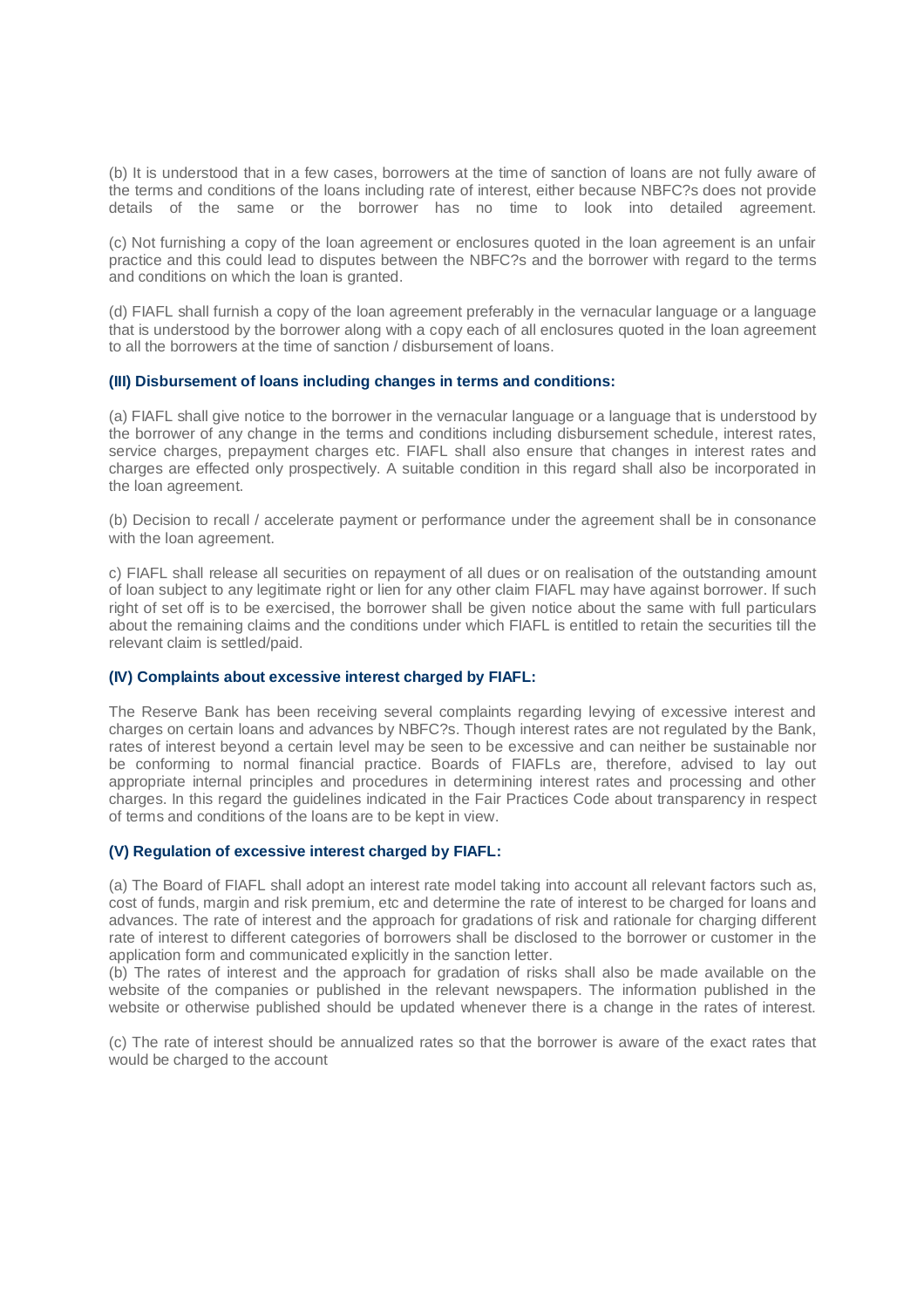(b) It is understood that in a few cases, borrowers at the time of sanction of loans are not fully aware of the terms and conditions of the loans including rate of interest, either because NBFC?s does not provide details of the same or the borrower has no time to look into detailed agreement.

(c) Not furnishing a copy of the loan agreement or enclosures quoted in the loan agreement is an unfair practice and this could lead to disputes between the NBFC?s and the borrower with regard to the terms and conditions on which the loan is granted.

(d) FIAFL shall furnish a copy of the loan agreement preferably in the vernacular language or a language that is understood by the borrower along with a copy each of all enclosures quoted in the loan agreement to all the borrowers at the time of sanction / disbursement of loans.

# **(III) Disbursement of loans including changes in terms and conditions:**

(a) FIAFL shall give notice to the borrower in the vernacular language or a language that is understood by the borrower of any change in the terms and conditions including disbursement schedule, interest rates, service charges, prepayment charges etc. FIAFL shall also ensure that changes in interest rates and charges are effected only prospectively. A suitable condition in this regard shall also be incorporated in the loan agreement.

(b) Decision to recall / accelerate payment or performance under the agreement shall be in consonance with the loan agreement.

c) FIAFL shall release all securities on repayment of all dues or on realisation of the outstanding amount of loan subject to any legitimate right or lien for any other claim FIAFL may have against borrower. If such right of set off is to be exercised, the borrower shall be given notice about the same with full particulars about the remaining claims and the conditions under which FIAFL is entitled to retain the securities till the relevant claim is settled/paid.

## **(IV) Complaints about excessive interest charged by FIAFL:**

The Reserve Bank has been receiving several complaints regarding levying of excessive interest and charges on certain loans and advances by NBFC?s. Though interest rates are not regulated by the Bank, rates of interest beyond a certain level may be seen to be excessive and can neither be sustainable nor be conforming to normal financial practice. Boards of FIAFLs are, therefore, advised to lay out appropriate internal principles and procedures in determining interest rates and processing and other charges. In this regard the guidelines indicated in the Fair Practices Code about transparency in respect of terms and conditions of the loans are to be kept in view.

## **(V) Regulation of excessive interest charged by FIAFL:**

(a) The Board of FIAFL shall adopt an interest rate model taking into account all relevant factors such as, cost of funds, margin and risk premium, etc and determine the rate of interest to be charged for loans and advances. The rate of interest and the approach for gradations of risk and rationale for charging different rate of interest to different categories of borrowers shall be disclosed to the borrower or customer in the application form and communicated explicitly in the sanction letter.

(b) The rates of interest and the approach for gradation of risks shall also be made available on the website of the companies or published in the relevant newspapers. The information published in the website or otherwise published should be updated whenever there is a change in the rates of interest.

(c) The rate of interest should be annualized rates so that the borrower is aware of the exact rates that would be charged to the account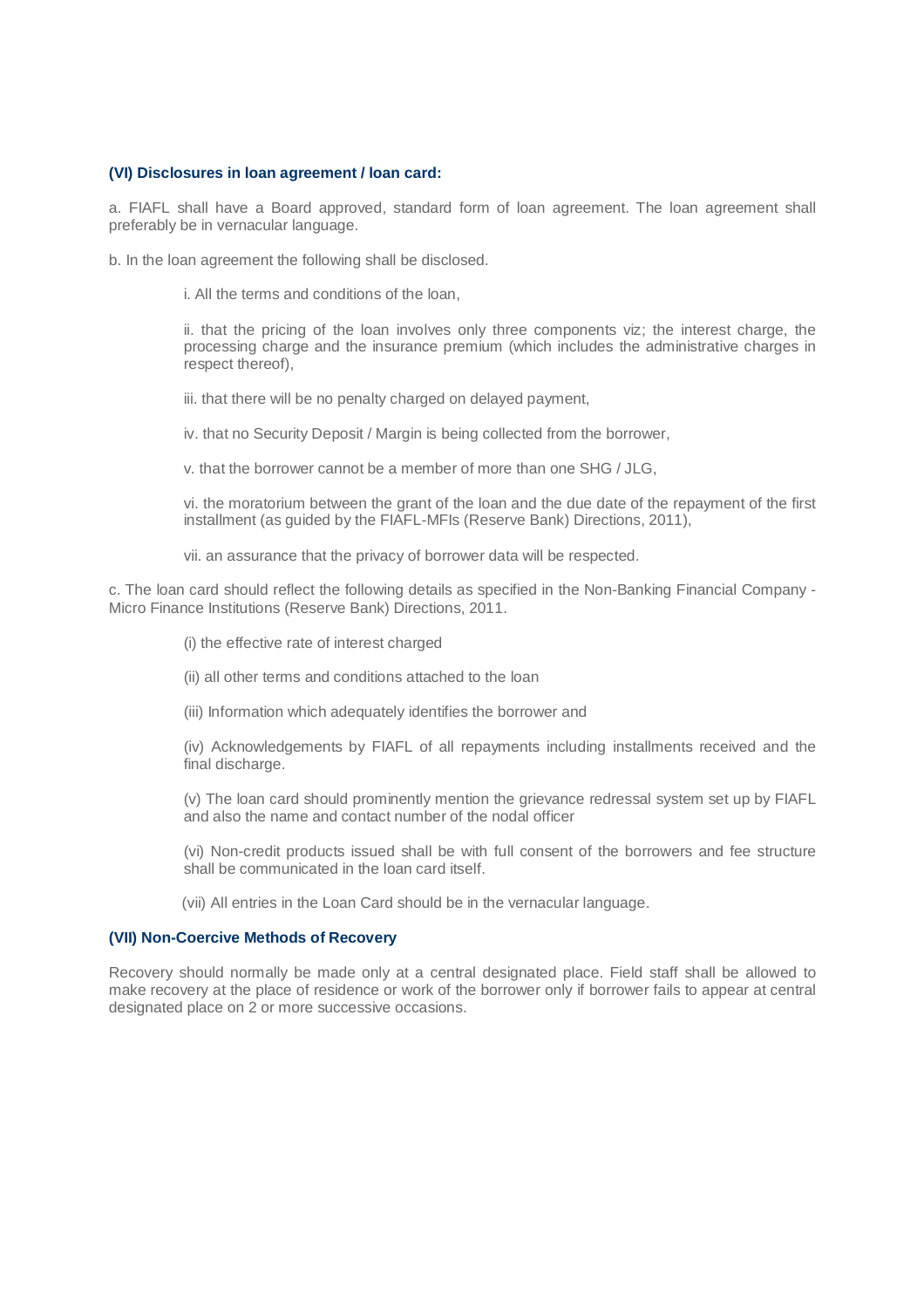#### **(VI) Disclosures in loan agreement / loan card:**

a. FIAFL shall have a Board approved, standard form of loan agreement. The loan agreement shall preferably be in vernacular language.

b. In the loan agreement the following shall be disclosed.

i. All the terms and conditions of the loan,

ii. that the pricing of the loan involves only three components viz; the interest charge, the processing charge and the insurance premium (which includes the administrative charges in respect thereof),

iii. that there will be no penalty charged on delayed payment,

iv. that no Security Deposit / Margin is being collected from the borrower,

v. that the borrower cannot be a member of more than one SHG / JLG,

vi. the moratorium between the grant of the loan and the due date of the repayment of the first installment (as guided by the FIAFL-MFIs (Reserve Bank) Directions, 2011),

vii. an assurance that the privacy of borrower data will be respected.

c. The loan card should reflect the following details as specified in the Non-Banking Financial Company - Micro Finance Institutions (Reserve Bank) Directions, 2011.

(i) the effective rate of interest charged

(ii) all other terms and conditions attached to the loan

(iii) Information which adequately identifies the borrower and

(iv) Acknowledgements by FIAFL of all repayments including installments received and the final discharge.

(v) The loan card should prominently mention the grievance redressal system set up by FIAFL and also the name and contact number of the nodal officer

(vi) Non-credit products issued shall be with full consent of the borrowers and fee structure shall be communicated in the loan card itself.

(vii) All entries in the Loan Card should be in the vernacular language.

## **(VII) Non-Coercive Methods of Recovery**

Recovery should normally be made only at a central designated place. Field staff shall be allowed to make recovery at the place of residence or work of the borrower only if borrower fails to appear at central designated place on 2 or more successive occasions.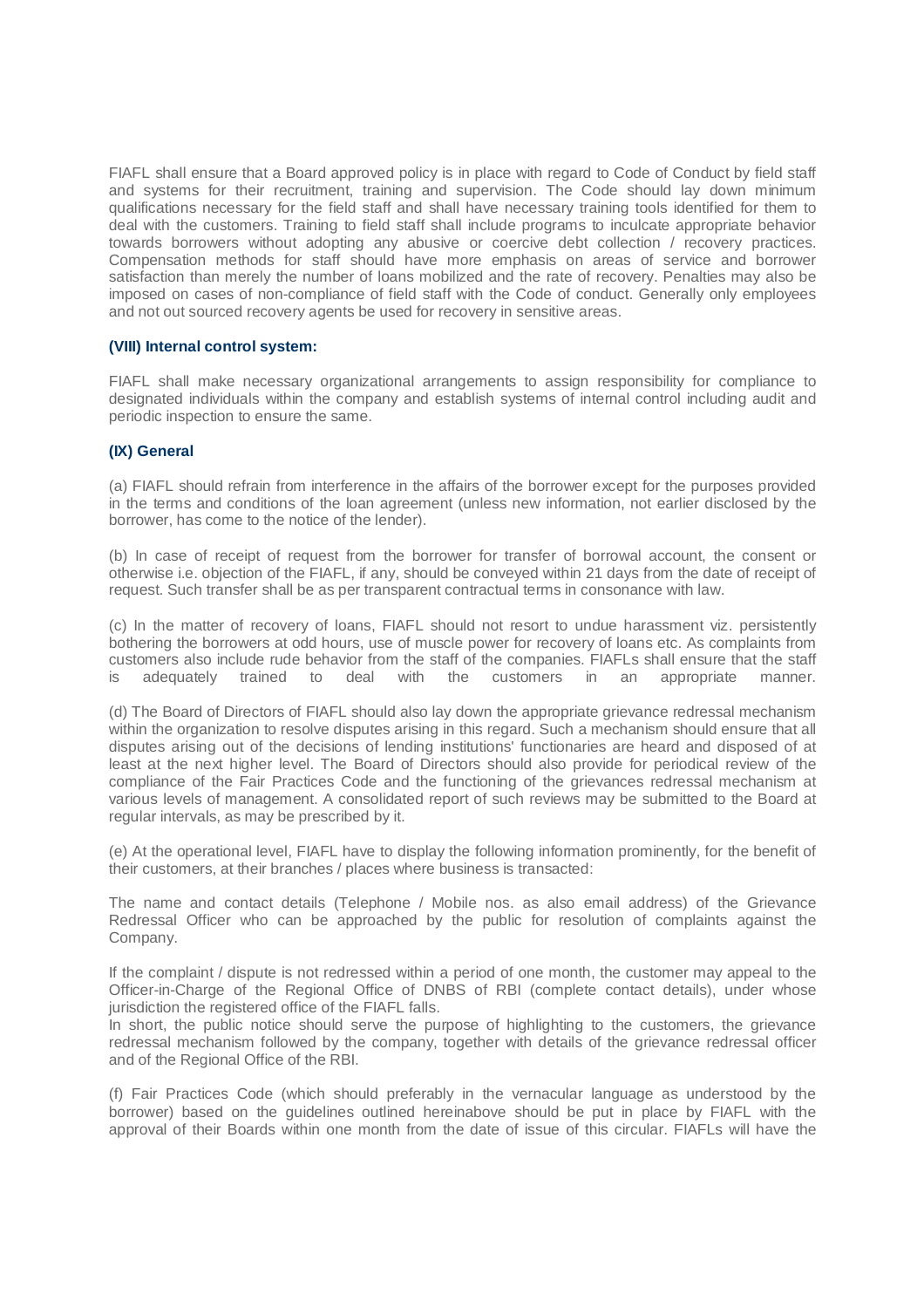FIAFL shall ensure that a Board approved policy is in place with regard to Code of Conduct by field staff and systems for their recruitment, training and supervision. The Code should lay down minimum qualifications necessary for the field staff and shall have necessary training tools identified for them to deal with the customers. Training to field staff shall include programs to inculcate appropriate behavior towards borrowers without adopting any abusive or coercive debt collection / recovery practices. Compensation methods for staff should have more emphasis on areas of service and borrower satisfaction than merely the number of loans mobilized and the rate of recovery. Penalties may also be imposed on cases of non-compliance of field staff with the Code of conduct. Generally only employees and not out sourced recovery agents be used for recovery in sensitive areas.

## **(VIII) Internal control system:**

FIAFL shall make necessary organizational arrangements to assign responsibility for compliance to designated individuals within the company and establish systems of internal control including audit and periodic inspection to ensure the same.

#### **(IX) General**

(a) FIAFL should refrain from interference in the affairs of the borrower except for the purposes provided in the terms and conditions of the loan agreement (unless new information, not earlier disclosed by the borrower, has come to the notice of the lender).

(b) In case of receipt of request from the borrower for transfer of borrowal account, the consent or otherwise i.e. objection of the FIAFL, if any, should be conveyed within 21 days from the date of receipt of request. Such transfer shall be as per transparent contractual terms in consonance with law.

(c) In the matter of recovery of loans, FIAFL should not resort to undue harassment viz. persistently bothering the borrowers at odd hours, use of muscle power for recovery of loans etc. As complaints from customers also include rude behavior from the staff of the companies. FIAFLs shall ensure that the staff is adequately trained to deal with the customers in an appropriate manner. is adequately trained to deal with the customers in an appropriate manner.

(d) The Board of Directors of FIAFL should also lay down the appropriate grievance redressal mechanism within the organization to resolve disputes arising in this regard. Such a mechanism should ensure that all disputes arising out of the decisions of lending institutions' functionaries are heard and disposed of at least at the next higher level. The Board of Directors should also provide for periodical review of the compliance of the Fair Practices Code and the functioning of the grievances redressal mechanism at various levels of management. A consolidated report of such reviews may be submitted to the Board at regular intervals, as may be prescribed by it.

(e) At the operational level, FIAFL have to display the following information prominently, for the benefit of their customers, at their branches / places where business is transacted:

The name and contact details (Telephone / Mobile nos. as also email address) of the Grievance Redressal Officer who can be approached by the public for resolution of complaints against the Company.

If the complaint / dispute is not redressed within a period of one month, the customer may appeal to the Officer-in-Charge of the Regional Office of DNBS of RBI (complete contact details), under whose jurisdiction the registered office of the FIAFL falls.

In short, the public notice should serve the purpose of highlighting to the customers, the grievance redressal mechanism followed by the company, together with details of the grievance redressal officer and of the Regional Office of the RBI.

(f) Fair Practices Code (which should preferably in the vernacular language as understood by the borrower) based on the guidelines outlined hereinabove should be put in place by FIAFL with the approval of their Boards within one month from the date of issue of this circular. FIAFLs will have the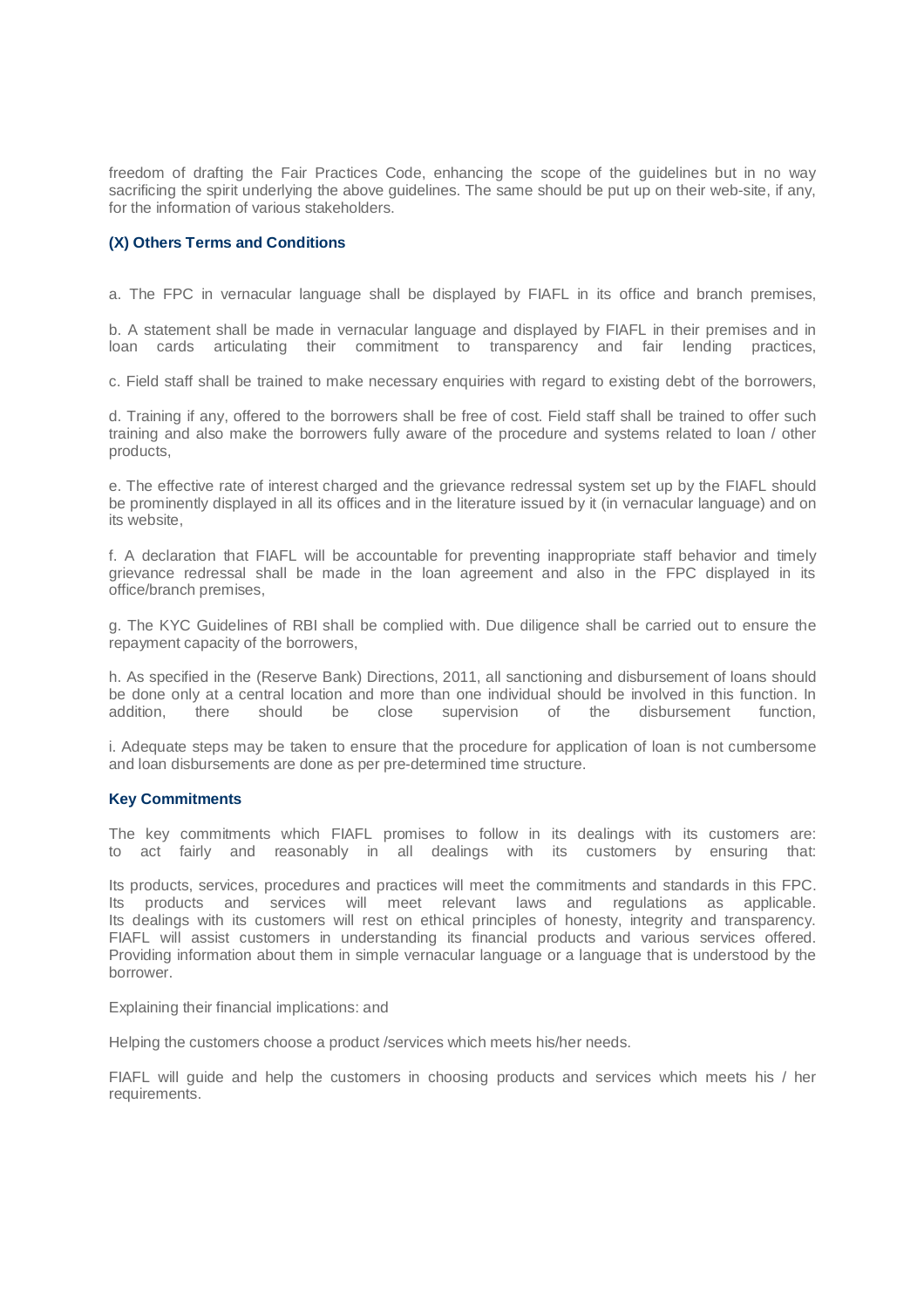freedom of drafting the Fair Practices Code, enhancing the scope of the guidelines but in no way sacrificing the spirit underlying the above guidelines. The same should be put up on their web-site, if any, for the information of various stakeholders.

# **(X) Others Terms and Conditions**

a. The FPC in vernacular language shall be displayed by FIAFL in its office and branch premises,

b. A statement shall be made in vernacular language and displayed by FIAFL in their premises and in loan cards articulating their commitment to transparency and fair lending practices,

c. Field staff shall be trained to make necessary enquiries with regard to existing debt of the borrowers,

d. Training if any, offered to the borrowers shall be free of cost. Field staff shall be trained to offer such training and also make the borrowers fully aware of the procedure and systems related to loan / other products,

e. The effective rate of interest charged and the grievance redressal system set up by the FIAFL should be prominently displayed in all its offices and in the literature issued by it (in vernacular language) and on its website,

f. A declaration that FIAFL will be accountable for preventing inappropriate staff behavior and timely grievance redressal shall be made in the loan agreement and also in the FPC displayed in its office/branch premises,

g. The KYC Guidelines of RBI shall be complied with. Due diligence shall be carried out to ensure the repayment capacity of the borrowers,

h. As specified in the (Reserve Bank) Directions, 2011, all sanctioning and disbursement of loans should be done only at a central location and more than one individual should be involved in this function. In addition, there should be close supervision of the disbursement function,

i. Adequate steps may be taken to ensure that the procedure for application of loan is not cumbersome and loan disbursements are done as per pre-determined time structure.

## **Key Commitments**

The key commitments which FIAFL promises to follow in its dealings with its customers are: to act fairly and reasonably in all dealings with its customers by ensuring that:

Its products, services, procedures and practices will meet the commitments and standards in this FPC. Its products and services will meet relevant laws and regulations as applicable. Its dealings with its customers will rest on ethical principles of honesty, integrity and transparency. FIAFL will assist customers in understanding its financial products and various services offered. Providing information about them in simple vernacular language or a language that is understood by the borrower.

Explaining their financial implications: and

Helping the customers choose a product /services which meets his/her needs.

FIAFL will guide and help the customers in choosing products and services which meets his / her requirements.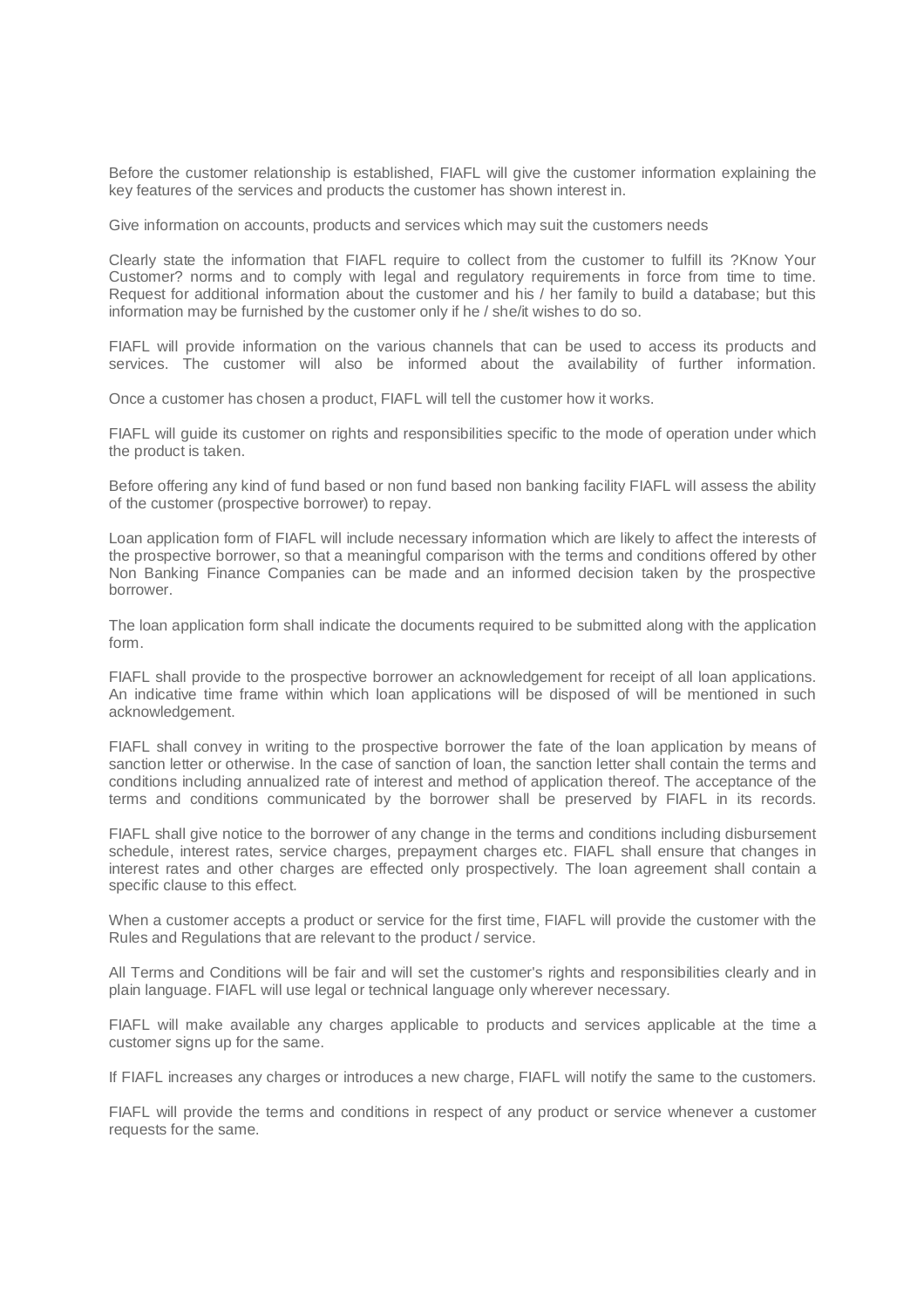Before the customer relationship is established, FIAFL will give the customer information explaining the key features of the services and products the customer has shown interest in.

Give information on accounts, products and services which may suit the customers needs

Clearly state the information that FIAFL require to collect from the customer to fulfill its ?Know Your Customer? norms and to comply with legal and regulatory requirements in force from time to time. Request for additional information about the customer and his / her family to build a database; but this information may be furnished by the customer only if he / she/it wishes to do so.

FIAFL will provide information on the various channels that can be used to access its products and services. The customer will also be informed about the availability of further information.

Once a customer has chosen a product, FIAFL will tell the customer how it works.

FIAFL will guide its customer on rights and responsibilities specific to the mode of operation under which the product is taken.

Before offering any kind of fund based or non fund based non banking facility FIAFL will assess the ability of the customer (prospective borrower) to repay.

Loan application form of FIAFL will include necessary information which are likely to affect the interests of the prospective borrower, so that a meaningful comparison with the terms and conditions offered by other Non Banking Finance Companies can be made and an informed decision taken by the prospective borrower.

The loan application form shall indicate the documents required to be submitted along with the application form.

FIAFL shall provide to the prospective borrower an acknowledgement for receipt of all loan applications. An indicative time frame within which loan applications will be disposed of will be mentioned in such acknowledgement.

FIAFL shall convey in writing to the prospective borrower the fate of the loan application by means of sanction letter or otherwise. In the case of sanction of loan, the sanction letter shall contain the terms and conditions including annualized rate of interest and method of application thereof. The acceptance of the terms and conditions communicated by the borrower shall be preserved by FIAFL in its records.

FIAFL shall give notice to the borrower of any change in the terms and conditions including disbursement schedule, interest rates, service charges, prepayment charges etc. FIAFL shall ensure that changes in interest rates and other charges are effected only prospectively. The loan agreement shall contain a specific clause to this effect.

When a customer accepts a product or service for the first time, FIAFL will provide the customer with the Rules and Regulations that are relevant to the product / service.

All Terms and Conditions will be fair and will set the customer's rights and responsibilities clearly and in plain language. FIAFL will use legal or technical language only wherever necessary.

FIAFL will make available any charges applicable to products and services applicable at the time a customer signs up for the same.

If FIAFL increases any charges or introduces a new charge, FIAFL will notify the same to the customers.

FIAFL will provide the terms and conditions in respect of any product or service whenever a customer requests for the same.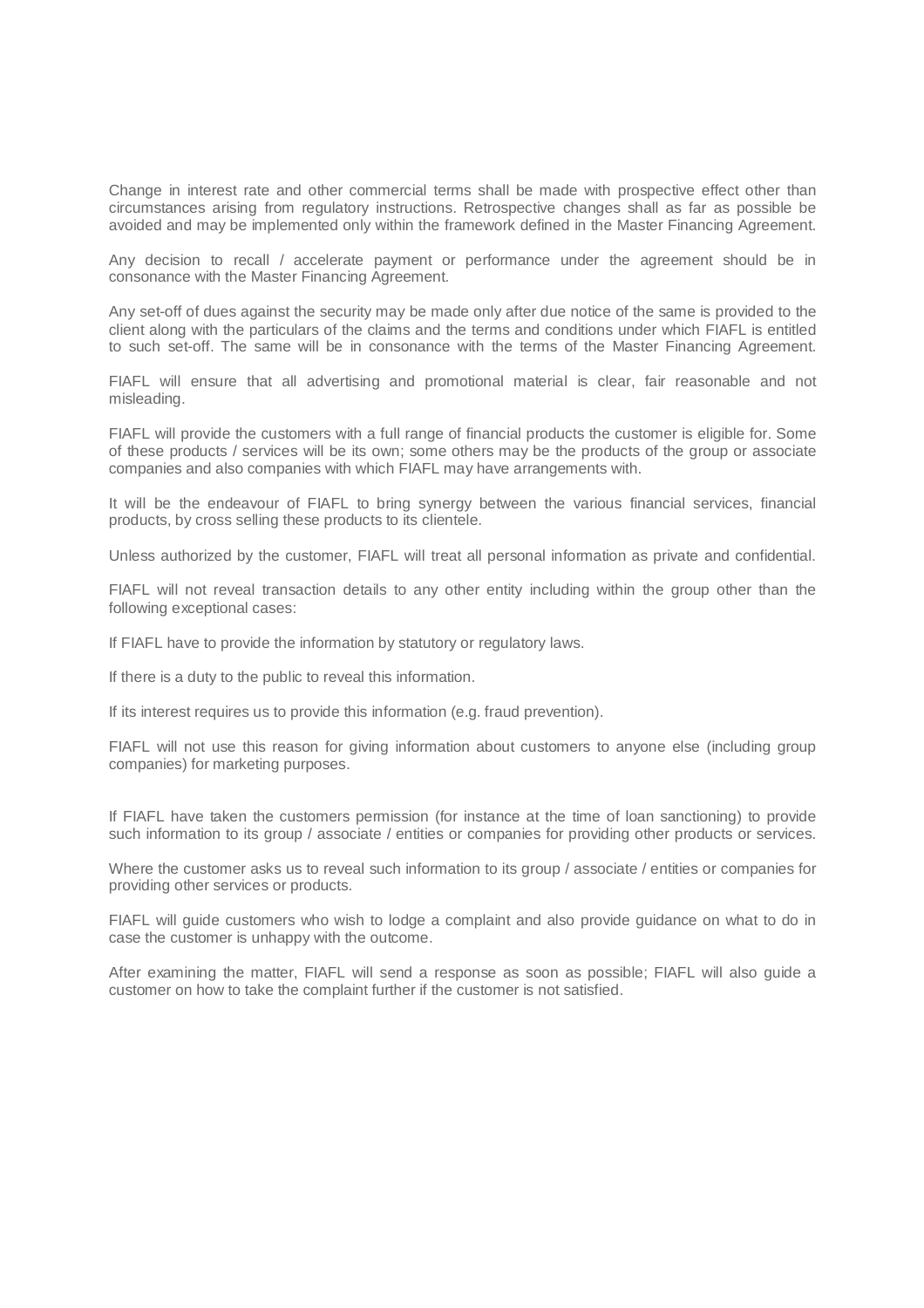Change in interest rate and other commercial terms shall be made with prospective effect other than circumstances arising from regulatory instructions. Retrospective changes shall as far as possible be avoided and may be implemented only within the framework defined in the Master Financing Agreement.

Any decision to recall / accelerate payment or performance under the agreement should be in consonance with the Master Financing Agreement.

Any set-off of dues against the security may be made only after due notice of the same is provided to the client along with the particulars of the claims and the terms and conditions under which FIAFL is entitled to such set-off. The same will be in consonance with the terms of the Master Financing Agreement.

FIAFL will ensure that all advertising and promotional material is clear, fair reasonable and not misleading.

FIAFL will provide the customers with a full range of financial products the customer is eligible for. Some of these products / services will be its own; some others may be the products of the group or associate companies and also companies with which FIAFL may have arrangements with.

It will be the endeavour of FIAFL to bring synergy between the various financial services, financial products, by cross selling these products to its clientele.

Unless authorized by the customer, FIAFL will treat all personal information as private and confidential.

FIAFL will not reveal transaction details to any other entity including within the group other than the following exceptional cases:

If FIAFL have to provide the information by statutory or regulatory laws.

If there is a duty to the public to reveal this information.

If its interest requires us to provide this information (e.g. fraud prevention).

FIAFL will not use this reason for giving information about customers to anyone else (including group companies) for marketing purposes.

If FIAFL have taken the customers permission (for instance at the time of loan sanctioning) to provide such information to its group / associate / entities or companies for providing other products or services.

Where the customer asks us to reveal such information to its group / associate / entities or companies for providing other services or products.

FIAFL will guide customers who wish to lodge a complaint and also provide guidance on what to do in case the customer is unhappy with the outcome.

After examining the matter, FIAFL will send a response as soon as possible; FIAFL will also guide a customer on how to take the complaint further if the customer is not satisfied.